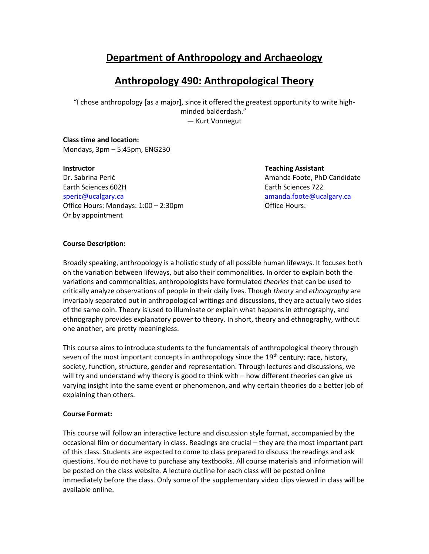### **Department of Anthropology and Archaeology**

### **Anthropology 490: Anthropological Theory**

"I chose anthropology [as a major], since it offered the greatest opportunity to write highminded balderdash." ― Kurt Vonnegut

#### **Class time and location:**  Mondays, 3pm – 5:45pm, ENG230

Dr. Sabrina Perić Amanda Foote, PhD Candidate Earth Sciences 602H Earth Sciences 722 [speric@ucalgary.ca](mailto:speric@ucalgary.ca) [amanda.foote@ucalgary.ca](mailto:amanda.foote@ucalgary.ca) amanda.foote@ucalgary.ca Office Hours: Mondays: 1:00 – 2:30pm Quantity Controllering Control Controllering Control Control Control O Or by appointment

**Instructor Teaching Assistant**

#### **Course Description:**

Broadly speaking, anthropology is a holistic study of all possible human lifeways. It focuses both on the variation between lifeways, but also their commonalities. In order to explain both the variations and commonalities, anthropologists have formulated *theories* that can be used to critically analyze observations of people in their daily lives. Though *theory* and *ethnography* are invariably separated out in anthropological writings and discussions, they are actually two sides of the same coin. Theory is used to illuminate or explain what happens in ethnography, and ethnography provides explanatory power to theory. In short, theory and ethnography, without one another, are pretty meaningless.

This course aims to introduce students to the fundamentals of anthropological theory through seven of the most important concepts in anthropology since the 19<sup>th</sup> century: race, history, society, function, structure, gender and representation. Through lectures and discussions, we will try and understand why theory is good to think with – how different theories can give us varying insight into the same event or phenomenon, and why certain theories do a better job of explaining than others.

### **Course Format:**

This course will follow an interactive lecture and discussion style format, accompanied by the occasional film or documentary in class. Readings are crucial – they are the most important part of this class. Students are expected to come to class prepared to discuss the readings and ask questions. You do not have to purchase any textbooks. All course materials and information will be posted on the class website. A lecture outline for each class will be posted online immediately before the class. Only some of the supplementary video clips viewed in class will be available online.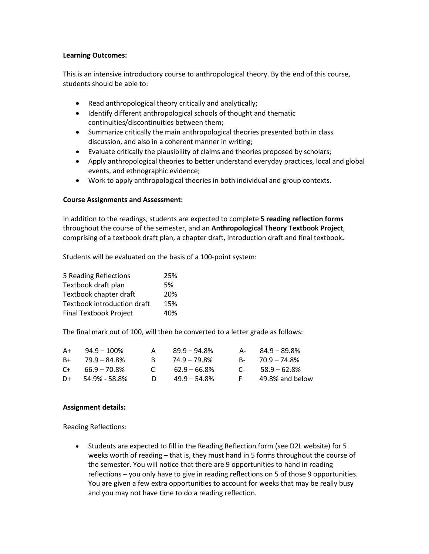#### **Learning Outcomes:**

This is an intensive introductory course to anthropological theory. By the end of this course, students should be able to:

- Read anthropological theory critically and analytically;
- Identify different anthropological schools of thought and thematic continuities/discontinuities between them;
- Summarize critically the main anthropological theories presented both in class discussion, and also in a coherent manner in writing;
- Evaluate critically the plausibility of claims and theories proposed by scholars;
- Apply anthropological theories to better understand everyday practices, local and global events, and ethnographic evidence;
- Work to apply anthropological theories in both individual and group contexts.

#### **Course Assignments and Assessment:**

In addition to the readings, students are expected to complete **5 reading reflection forms** throughout the course of the semester, and an **Anthropological Theory Textbook Project**, comprising of a textbook draft plan, a chapter draft, introduction draft and final textbook**.** 

Students will be evaluated on the basis of a 100-point system:

| 25% |
|-----|
| .5% |
| 20% |
| 15% |
| 40% |
|     |

The final mark out of 100, will then be converted to a letter grade as follows:

| A+   | $94.9 - 100\%$  |              | $89.9 - 94.8\%$ | Д-        | 84.9 – 89.8%    |
|------|-----------------|--------------|-----------------|-----------|-----------------|
| $R+$ | 79.9 – 84.8%    |              | $74.9 - 79.8\%$ | $R_{\pm}$ | 70.9 – 74.8%    |
| $C+$ | $66.9 - 70.8\%$ | $\mathbf{C}$ | $62.9 - 66.8\%$ | $\Gamma$  | $58.9 - 62.8\%$ |
| D+   | 54.9% - 58.8%   | D.           | $49.9 - 54.8\%$ | -F.       | 49.8% and below |

#### **Assignment details:**

Reading Reflections:

• Students are expected to fill in the Reading Reflection form (see D2L website) for 5 weeks worth of reading – that is, they must hand in 5 forms throughout the course of the semester. You will notice that there are 9 opportunities to hand in reading reflections – you only have to give in reading reflections on 5 of those 9 opportunities. You are given a few extra opportunities to account for weeks that may be really busy and you may not have time to do a reading reflection.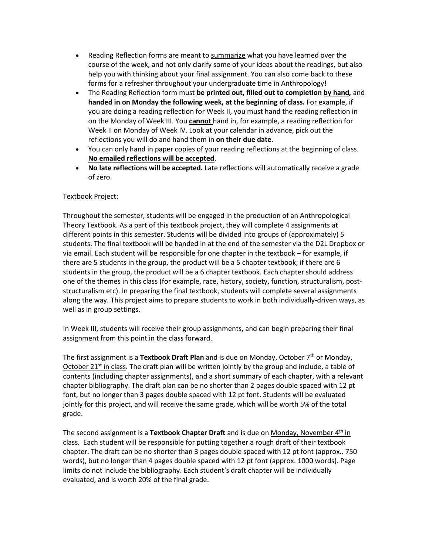- Reading Reflection forms are meant to summarize what you have learned over the course of the week, and not only clarify some of your ideas about the readings, but also help you with thinking about your final assignment. You can also come back to these forms for a refresher throughout your undergraduate time in Anthropology!
- The Reading Reflection form must **be printed out, filled out to completion by hand***,* and **handed in on Monday the following week, at the beginning of class.** For example, if you are doing a reading reflection for Week II, you must hand the reading reflection in on the Monday of Week III. You **cannot** hand in, for example, a reading reflection for Week II on Monday of Week IV. Look at your calendar in advance, pick out the reflections you will do and hand them in **on their due date**.
- You can only hand in paper copies of your reading reflections at the beginning of class. **No emailed reflections will be accepted**.
- **No late reflections will be accepted.** Late reflections will automatically receive a grade of zero.

#### Textbook Project:

Throughout the semester, students will be engaged in the production of an Anthropological Theory Textbook. As a part of this textbook project, they will complete 4 assignments at different points in this semester. Students will be divided into groups of (approximately) 5 students. The final textbook will be handed in at the end of the semester via the D2L Dropbox or via email. Each student will be responsible for one chapter in the textbook – for example, if there are 5 students in the group, the product will be a 5 chapter textbook; if there are 6 students in the group, the product will be a 6 chapter textbook. Each chapter should address one of the themes in this class (for example, race, history, society, function, structuralism, poststructuralism etc). In preparing the final textbook, students will complete several assignments along the way. This project aims to prepare students to work in both individually-driven ways, as well as in group settings.

In Week III, students will receive their group assignments, and can begin preparing their final assignment from this point in the class forward.

The first assignment is a **Textbook Draft Plan** and is due on <u>Monday</u>, October 7<sup>th</sup> or Monday, October 21<sup>st</sup> in class. The draft plan will be written jointly by the group and include, a table of contents (including chapter assignments), and a short summary of each chapter, with a relevant chapter bibliography. The draft plan can be no shorter than 2 pages double spaced with 12 pt font, but no longer than 3 pages double spaced with 12 pt font. Students will be evaluated jointly for this project, and will receive the same grade, which will be worth 5% of the total grade.

The second assignment is a Textbook Chapter Draft and is due on Monday, November 4<sup>th</sup> in class. Each student will be responsible for putting together a rough draft of their textbook chapter. The draft can be no shorter than 3 pages double spaced with 12 pt font (approx.. 750 words), but no longer than 4 pages double spaced with 12 pt font (approx. 1000 words). Page limits do not include the bibliography. Each student's draft chapter will be individually evaluated, and is worth 20% of the final grade.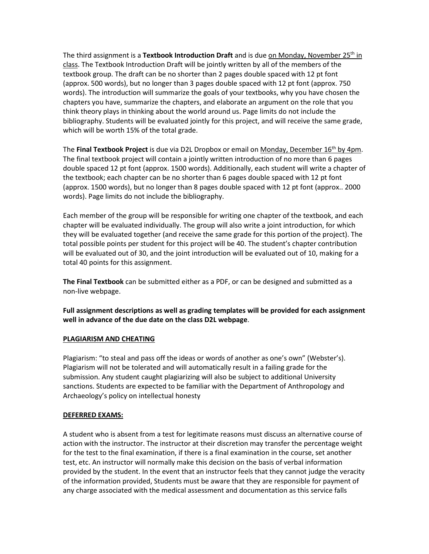The third assignment is a **Textbook Introduction Draft** and is due on Monday, November 25<sup>th</sup> in class. The Textbook Introduction Draft will be jointly written by all of the members of the textbook group. The draft can be no shorter than 2 pages double spaced with 12 pt font (approx. 500 words), but no longer than 3 pages double spaced with 12 pt font (approx. 750 words). The introduction will summarize the goals of your textbooks, why you have chosen the chapters you have, summarize the chapters, and elaborate an argument on the role that you think theory plays in thinking about the world around us. Page limits do not include the bibliography. Students will be evaluated jointly for this project, and will receive the same grade, which will be worth 15% of the total grade.

The Final Textbook Project is due via D2L Dropbox or email on Monday, December 16<sup>th</sup> by 4pm. The final textbook project will contain a jointly written introduction of no more than 6 pages double spaced 12 pt font (approx. 1500 words). Additionally, each student will write a chapter of the textbook; each chapter can be no shorter than 6 pages double spaced with 12 pt font (approx. 1500 words), but no longer than 8 pages double spaced with 12 pt font (approx.. 2000 words). Page limits do not include the bibliography.

Each member of the group will be responsible for writing one chapter of the textbook, and each chapter will be evaluated individually. The group will also write a joint introduction, for which they will be evaluated together (and receive the same grade for this portion of the project). The total possible points per student for this project will be 40. The student's chapter contribution will be evaluated out of 30, and the joint introduction will be evaluated out of 10, making for a total 40 points for this assignment.

**The Final Textbook** can be submitted either as a PDF, or can be designed and submitted as a non-live webpage.

**Full assignment descriptions as well as grading templates will be provided for each assignment well in advance of the due date on the class D2L webpage**.

#### **PLAGIARISM AND CHEATING**

Plagiarism: "to steal and pass off the ideas or words of another as one's own" (Webster's). Plagiarism will not be tolerated and will automatically result in a failing grade for the submission. Any student caught plagiarizing will also be subject to additional University sanctions. Students are expected to be familiar with the Department of Anthropology and Archaeology's policy on intellectual honesty

#### **DEFERRED EXAMS:**

A student who is absent from a test for legitimate reasons must discuss an alternative course of action with the instructor. The instructor at their discretion may transfer the percentage weight for the test to the final examination, if there is a final examination in the course, set another test, etc. An instructor will normally make this decision on the basis of verbal information provided by the student. In the event that an instructor feels that they cannot judge the veracity of the information provided, Students must be aware that they are responsible for payment of any charge associated with the medical assessment and documentation as this service falls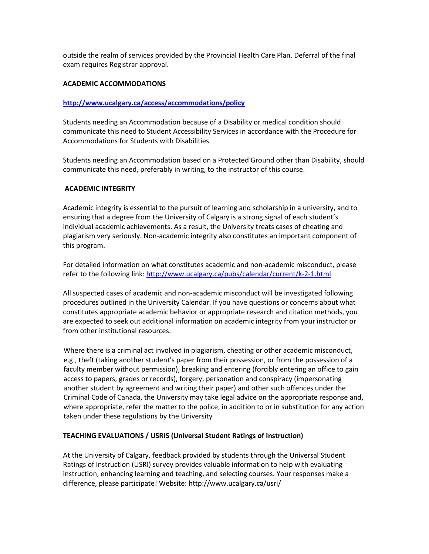outside the realm of services provided by the Provincial Health Care Plan. Deferral of the final exam requires Registrar approval.

#### **ACADEMIC ACCOMMODATIONS**

#### **<http://www.ucalgary.ca/access/accommodations/policy>**

Students needing an Accommodation because of a Disability or medical condition should communicate this need to Student Accessibility Services in accordance with the Procedure for Accommodations for Students with Disabilities

Students needing an Accommodation based on a Protected Ground other than Disability, should communicate this need, preferably in writing, to the instructor of this course.

#### **ACADEMIC INTEGRITY**

Academic integrity is essential to the pursuit of learning and scholarship in a university, and to ensuring that a degree from the University of Calgary is a strong signal of each student's individual academic achievements. As a result, the University treats cases of cheating and plagiarism very seriously. Non-academic integrity also constitutes an important component of this program.

For detailed information on what constitutes academic and non-academic misconduct, please refer to the following link:<http://www.ucalgary.ca/pubs/calendar/current/k-2-1.html>

All suspected cases of academic and non-academic misconduct will be investigated following procedures outlined in the University Calendar. If you have questions or concerns about what constitutes appropriate academic behavior or appropriate research and citation methods, you are expected to seek out additional information on academic integrity from your instructor or from other institutional resources.

Where there is a criminal act involved in plagiarism, cheating or other academic misconduct, e.g., theft (taking another student's paper from their possession, or from the possession of a faculty member without permission), breaking and entering (forcibly entering an office to gain access to papers, grades or records), forgery, personation and conspiracy (impersonating another student by agreement and writing their paper) and other such offences under the Criminal Code of Canada, the University may take legal advice on the appropriate response and, where appropriate, refer the matter to the police, in addition to or in substitution for any action taken under these regulations by the University

#### **TEACHING EVALUATIONS / USRIS (Universal Student Ratings of Instruction)**

At the University of Calgary, feedback provided by students through the Universal Student Ratings of Instruction (USRI) survey provides valuable information to help with evaluating instruction, enhancing learning and teaching, and selecting courses. Your responses make a difference, please participate! Website: http://www.ucalgary.ca/usri/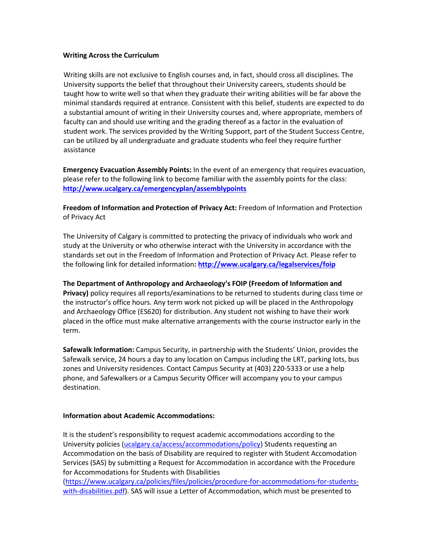#### **Writing Across the Curriculum**

Writing skills are not exclusive to English courses and, in fact, should cross all disciplines. The University supports the belief that throughout their University careers, students should be taught how to write well so that when they graduate their writing abilities will be far above the minimal standards required at entrance. Consistent with this belief, students are expected to do a substantial amount of writing in their University courses and, where appropriate, members of faculty can and should use writing and the grading thereof as a factor in the evaluation of student work. The services provided by the Writing Support, part of the Student Success Centre, can be utilized by all undergraduate and graduate students who feel they require further assistance

**Emergency Evacuation Assembly Points:** In the event of an emergency that requires evacuation, please refer to the following link to become familiar with the assembly points for the class: **<http://www.ucalgary.ca/emergencyplan/assemblypoints>**

**Freedom of Information and Protection of Privacy Act:** Freedom of Information and Protection of Privacy Act

The University of Calgary is committed to protecting the privacy of individuals who work and study at the University or who otherwise interact with the University in accordance with the standards set out in the Freedom of Information and Protection of Privacy Act. Please refer to the following link for detailed information**[: http://www.ucalgary.ca/legalservices/foip](http://www.ucalgary.ca/legalservices/foip)**

**The Department of Anthropology and Archaeology's FOIP (Freedom of Information and Privacy)** policy requires all reports/examinations to be returned to students during class time or the instructor's office hours. Any term work not picked up will be placed in the Anthropology and Archaeology Office (ES620) for distribution. Any student not wishing to have their work placed in the office must make alternative arrangements with the course instructor early in the term.

**Safewalk Information:** Campus Security, in partnership with the Students' Union, provides the Safewalk service, 24 hours a day to any location on Campus including the LRT, parking lots, bus zones and University residences. Contact Campus Security at (403) 220-5333 or use a help phone, and Safewalkers or a Campus Security Officer will accompany you to your campus destination.

#### **Information about Academic Accommodations:**

It is the student's responsibility to request academic accommodations according to the University policies [\(ucalgary.ca/access/accommodations/policy\)](https://ucalgary.ca/access/accommodations/policy) Students requesting an Accommodation on the basis of Disability are required to register with Student Accomodation Services (SAS) by submitting a Request for Accommodation in accordance with the Procedure for Accommodations for Students with Disabilities

[\(https://www.ucalgary.ca/policies/files/policies/procedure-for-accommodations-for-students](https://www.ucalgary.ca/policies/files/policies/procedure-for-accommodations-for-students-with-disabilities.pdf)[with-disabilities.pdf\)](https://www.ucalgary.ca/policies/files/policies/procedure-for-accommodations-for-students-with-disabilities.pdf). SAS will issue a Letter of Accommodation, which must be presented to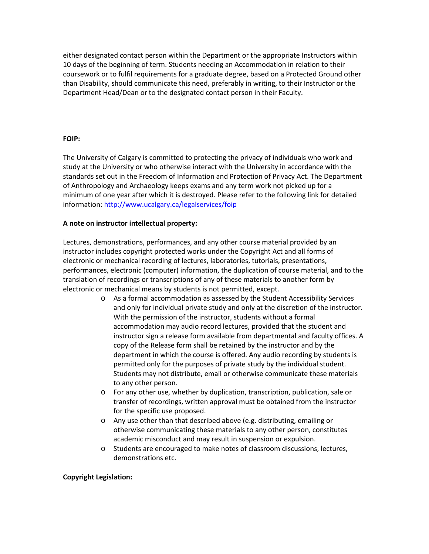either designated contact person within the Department or the appropriate Instructors within 10 days of the beginning of term. Students needing an Accommodation in relation to their coursework or to fulfil requirements for a graduate degree, based on a Protected Ground other than Disability, should communicate this need, preferably in writing, to their Instructor or the Department Head/Dean or to the designated contact person in their Faculty.

#### **FOIP:**

The University of Calgary is committed to protecting the privacy of individuals who work and study at the University or who otherwise interact with the University in accordance with the standards set out in the Freedom of Information and Protection of Privacy Act. The Department of Anthropology and Archaeology keeps exams and any term work not picked up for a minimum of one year after which it is destroyed. Please refer to the following link for detailed information[: http://www.ucalgary.ca/legalservices/foip](http://www.ucalgary.ca/legalservices/foip)

#### **A note on instructor intellectual property:**

Lectures, demonstrations, performances, and any other course material provided by an instructor includes copyright protected works under the Copyright Act and all forms of electronic or mechanical recording of lectures, laboratories, tutorials, presentations, performances, electronic (computer) information, the duplication of course material, and to the translation of recordings or transcriptions of any of these materials to another form by electronic or mechanical means by students is not permitted, except.

- o As a formal accommodation as assessed by the Student Accessibility Services and only for individual private study and only at the discretion of the instructor. With the permission of the instructor, students without a formal accommodation may audio record lectures, provided that the student and instructor sign a release form available from departmental and faculty offices. A copy of the Release form shall be retained by the instructor and by the department in which the course is offered. Any audio recording by students is permitted only for the purposes of private study by the individual student. Students may not distribute, email or otherwise communicate these materials to any other person.
- o For any other use, whether by duplication, transcription, publication, sale or transfer of recordings, written approval must be obtained from the instructor for the specific use proposed.
- o Any use other than that described above (e.g. distributing, emailing or otherwise communicating these materials to any other person, constitutes academic misconduct and may result in suspension or expulsion.
- o Students are encouraged to make notes of classroom discussions, lectures, demonstrations etc.

### **Copyright Legislation:**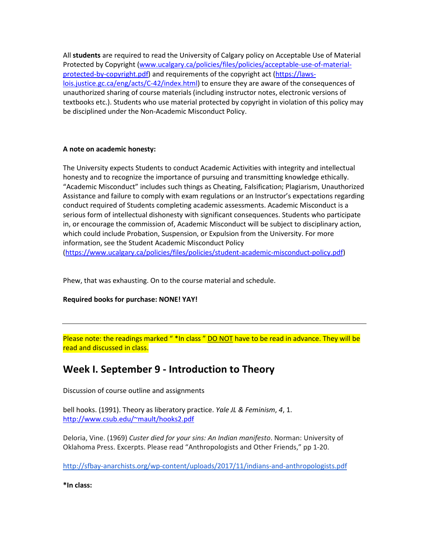All **students** are required to read the University of Calgary policy on Acceptable Use of Material Protected by Copyright [\(www.ucalgary.ca/policies/files/policies/acceptable-use-of-material](http://www.ucalgary.ca/policies/files/policies/acceptable-use-of-material-protected-by-copyright.pdf)[protected-by-copyright.pdf\)](http://www.ucalgary.ca/policies/files/policies/acceptable-use-of-material-protected-by-copyright.pdf) and requirements of the copyright act [\(https://laws](https://laws-lois.justice.gc.ca/eng/acts/C-42/index.html)[lois.justice.gc.ca/eng/acts/C-42/index.html\)](https://laws-lois.justice.gc.ca/eng/acts/C-42/index.html) to ensure they are aware of the consequences of unauthorized sharing of course materials (including instructor notes, electronic versions of textbooks etc.). Students who use material protected by copyright in violation of this policy may be disciplined under the Non-Academic Misconduct Policy.

#### **A note on academic honesty:**

The University expects Students to conduct Academic Activities with integrity and intellectual honesty and to recognize the importance of pursuing and transmitting knowledge ethically. "Academic Misconduct" includes such things as Cheating, Falsification; Plagiarism, Unauthorized Assistance and failure to comply with exam regulations or an Instructor's expectations regarding conduct required of Students completing academic assessments. Academic Misconduct is a serious form of intellectual dishonesty with significant consequences. Students who participate in, or encourage the commission of, Academic Misconduct will be subject to disciplinary action, which could include Probation, Suspension, or Expulsion from the University. For more information, see the Student Academic Misconduct Policy [\(https://www.ucalgary.ca/policies/files/policies/student-academic-misconduct-policy.pdf\)](https://www.ucalgary.ca/policies/files/policies/student-academic-misconduct-policy.pdf)

Phew, that was exhausting. On to the course material and schedule.

**Required books for purchase: NONE! YAY!**

Please note: the readings marked "\*In class" DO NOT have to be read in advance. They will be read and discussed in class.

### **Week I. September 9 - Introduction to Theory**

Discussion of course outline and assignments

bell hooks. (1991). Theory as liberatory practice. *Yale JL & Feminism*, *4*, 1. [http://www.csub.edu/~mault/hooks2.pdf](http://www.csub.edu/%7Emault/hooks2.pdf)

Deloria, Vine. (1969) *Custer died for your sins: An Indian manifesto*. Norman: University of Oklahoma Press. Excerpts. Please read "Anthropologists and Other Friends," pp 1-20.

<http://sfbay-anarchists.org/wp-content/uploads/2017/11/indians-and-anthropologists.pdf>

**\*In class:**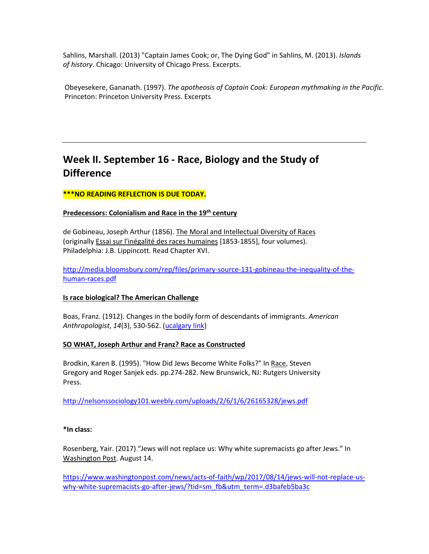Sahlins, Marshall. (2013) "Captain James Cook; or, The Dying God" in Sahlins, M. (2013). *Islands of history*. Chicago: University of Chicago Press. Excerpts.

Obeyesekere, Gananath. (1997). *The apotheosis of Captain Cook: European mythmaking in the Pacific*. Princeton: Princeton University Press. Excerpts

# **Week II. September 16 - Race, Biology and the Study of Difference**

#### **\*\*\*NO READING REFLECTION IS DUE TODAY.**

#### **Predecessors: Colonialism and Race in the 19th century**

de Gobineau, Joseph Arthur (1856). The Moral and Intellectual Diversity of Races (originally Essai sur l'inégalité des races humaines [1853-1855], four volumes). Philadelphia: J.B. Lippincott. Read Chapter XVI.

[http://media.bloomsbury.com/rep/files/primary-source-131-gobineau-the-inequality-of-the](http://media.bloomsbury.com/rep/files/primary-source-131-gobineau-the-inequality-of-the-human-races.pdf)[human-races.pdf](http://media.bloomsbury.com/rep/files/primary-source-131-gobineau-the-inequality-of-the-human-races.pdf)

#### **Is race biological? The American Challenge**

Boas, Franz. (1912). Changes in the bodily form of descendants of immigrants. *American Anthropologist*, *14*(3), 530-562. [\(ucalgary link\)](http://www.jstor.org.ezproxy.lib.ucalgary.ca/stable/pdf/663102.pdf)

#### **SO WHAT, Joseph Arthur and Franz? Race as Constructed**

Brodkin, Karen B. (1995). "How Did Jews Become White Folks?" In Race, Steven Gregory and Roger Sanjek eds. pp.274-282. New Brunswick, NJ: Rutgers University Press.

<http://nelsonssociology101.weebly.com/uploads/2/6/1/6/26165328/jews.pdf>

#### **\*In class:**

Rosenberg, Yair. (2017) "Jews will not replace us: Why white supremacists go after Jews." In Washington Post. August 14.

[https://www.washingtonpost.com/news/acts-of-faith/wp/2017/08/14/jews-will-not-replace-us](https://www.washingtonpost.com/news/acts-of-faith/wp/2017/08/14/jews-will-not-replace-us-why-white-supremacists-go-after-jews/?tid=sm_fb&utm_term=.d3bafeb5ba3c)why-white-supremacists-go-after-[jews/?tid=sm\\_fb&utm\\_term=.d3bafeb5ba3c](https://www.washingtonpost.com/news/acts-of-faith/wp/2017/08/14/jews-will-not-replace-us-why-white-supremacists-go-after-jews/?tid=sm_fb&utm_term=.d3bafeb5ba3c)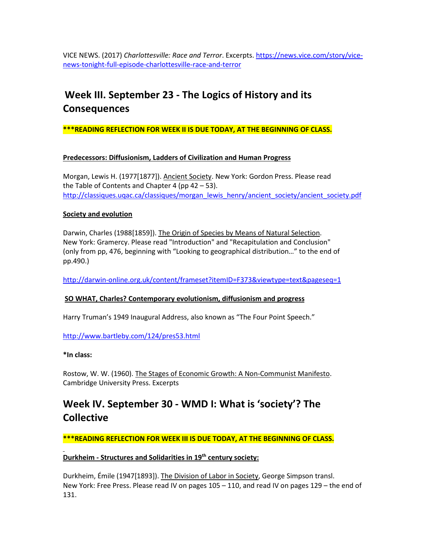VICE NEWS. (2017) *Charlottesville: Race and Terror*. Excerpts. [https://news.vice.com/story/vice](https://news.vice.com/story/vice-news-tonight-full-episode-charlottesville-race-and-terror)[news-tonight-full-episode-charlottesville-race-and-terror](https://news.vice.com/story/vice-news-tonight-full-episode-charlottesville-race-and-terror)

# **Week III. September 23 - The Logics of History and its Consequences**

**\*\*\*READING REFLECTION FOR WEEK II IS DUE TODAY, AT THE BEGINNING OF CLASS.**

#### **Predecessors: Diffusionism, Ladders of Civilization and Human Progress**

Morgan, Lewis H. (1977[1877]). Ancient Society. New York: Gordon Press. Please read the Table of Contents and Chapter 4 (pp  $42 - 53$ ). [http://classiques.uqac.ca/classiques/morgan\\_lewis\\_henry/ancient\\_society/ancient\\_society.pd](http://classiques.uqac.ca/classiques/morgan_lewis_henry/ancient_society/ancient_society.pdf)f

#### **Society and evolution**

Darwin, Charles (1988[1859]). The Origin of Species by Means of Natural Selection. New York: Gramercy. Please read "Introduction" and "Recapitulation and Conclusion" (only from pp, 476, beginning with "Looking to geographical distribution…" to the end of pp.490.)

http://darwin-[online.org.uk/content/frameset?itemID=F373&viewtype=text&pageseq=1](http://darwin-online.org.uk/content/frameset?itemID=F373&viewtype=text&pageseq=1)

#### **SO WHAT, Charles? Contemporary evolutionism, diffusionism and progress**

Harry Truman's 1949 Inaugural Address, also known as "The Four Point Speech."

<http://www.bartleby.com/124/pres53.html>

#### **\*In class:**

Rostow, W. W. (1960). The Stages of Economic Growth: A Non-Communist Manifesto. Cambridge University Press. Excerpts

### **Week IV. September 30 - WMD I: What is 'society'? The Collective**

**\*\*\*READING REFLECTION FOR WEEK III IS DUE TODAY, AT THE BEGINNING OF CLASS.**

#### **Durkheim - Structures and Solidarities in 19th century society:**

Durkheim, Émile (1947[1893]). The Division of Labor in Society, George Simpson transl. New York: Free Press. Please read IV on pages 105 – 110, and read IV on pages 129 – the end of 131.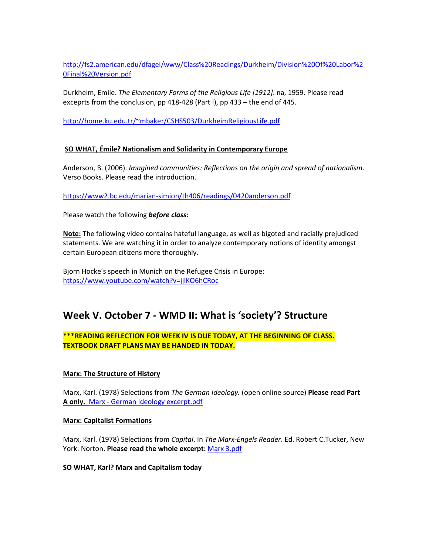[http://fs2.american.edu/dfagel/www/Class%20Readings/Durkheim/Division%20Of%20Labor%2](http://fs2.american.edu/dfagel/www/Class%20Readings/Durkheim/Division%20Of%20Labor%20Final%20Version.pdf) [0Final%20Version.pdf](http://fs2.american.edu/dfagel/www/Class%20Readings/Durkheim/Division%20Of%20Labor%20Final%20Version.pdf)

Durkheim, Emile. *The Elementary Forms of the Religious Life [1912]*. na, 1959. Please read exceprts from the conclusion, pp 418-428 (Part I), pp 433 – the end of 445.

[http://home.ku.edu.tr/~mbaker/CSHS503/DurkheimReligiousLife.pdf](http://home.ku.edu.tr/%7Embaker/CSHS503/DurkheimReligiousLife.pdf)

#### **SO WHAT, Émile? Nationalism and Solidarity in Contemporary Europe**

Anderson, B. (2006). *Imagined communities: Reflections on the origin and spread of nationalism*. Verso Books. Please read the introduction.

<https://www2.bc.edu/marian-simion/th406/readings/0420anderson.pdf>

Please watch the following *before class:*

**Note:** The following video contains hateful language, as well as bigoted and racially prejudiced statements. We are watching it in order to analyze contemporary notions of identity amongst certain European citizens more thoroughly.

Bjorn Hocke's speech in Munich on the Refugee Crisis in Europe: <https://www.youtube.com/watch?v=jjlKO6hCRoc>

### **Week V. October 7 - WMD II: What is 'society'? Structure**

### **\*\*\*READING REFLECTION FOR WEEK IV IS DUE TODAY, AT THE BEGINNING OF CLASS. TEXTBOOK DRAFT PLANS MAY BE HANDED IN TODAY.**

### **Marx: The Structure of History**

Marx, Karl. (1978) Selections from *The German Ideology.* (open online source) **Please read Part A only.** Marx - German Ideology excerpt.pdf

#### **Marx: Capitalist Formations**

Marx, Karl. (1978) Selections from *Capital*. In *The Marx-Engels Reader*. Ed. Robert C.Tucker, New York: Norton. **Please read the whole excerpt:** Marx 3.pdf

#### **SO WHAT, Karl? Marx and Capitalism today**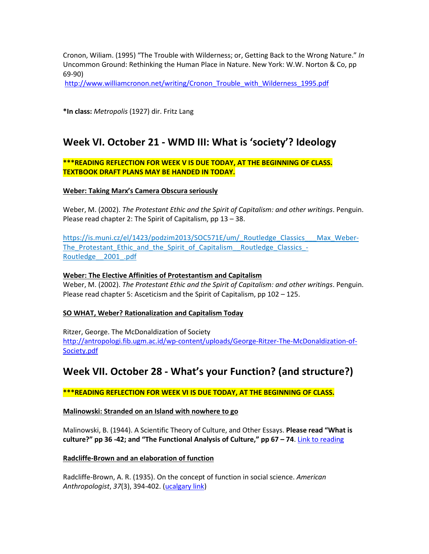Cronon, Wiliam. (1995) "The Trouble with Wilderness; or, Getting Back to the Wrong Nature." *In* Uncommon Ground: Rethinking the Human Place in Nature. New York: W.W. Norton & Co, pp 69-90)

[http://www.williamcronon.net/writing/Cronon\\_Trouble\\_with\\_Wilderness\\_1995.pdf](http://www.williamcronon.net/writing/Cronon_Trouble_with_Wilderness_1995.pdf)

**\*In class:** *Metropolis* (1927) dir. Fritz Lang

### **Week VI. October 21 - WMD III: What is 'society'? Ideology**

#### **\*\*\*READING REFLECTION FOR WEEK V IS DUE TODAY, AT THE BEGINNING OF CLASS. TEXTBOOK DRAFT PLANS MAY BE HANDED IN TODAY.**

#### **Weber: Taking Marx's Camera Obscura seriously**

Weber, M. (2002). *The Protestant Ethic and the Spirit of Capitalism: and other writings*. Penguin. Please read chapter 2: The Spirit of Capitalism, pp 13 – 38.

[https://is.muni.cz/el/1423/podzim2013/SOC571E/um/\\_Routledge\\_Classics\\_\\_\\_Max\\_Weber](https://is.muni.cz/el/1423/podzim2013/SOC571E/um/_Routledge_Classics___Max_Weber-The_Protestant_Ethic_and_the_Spirit_of_Capitalism__Routledge_Classics_-Routledge__2001_.pdf)-The\_Protestant\_Ethic\_and\_the\_Spirit\_of\_Capitalism\_Routledge\_Classics -[Routledge\\_\\_2001\\_.pdf](https://is.muni.cz/el/1423/podzim2013/SOC571E/um/_Routledge_Classics___Max_Weber-The_Protestant_Ethic_and_the_Spirit_of_Capitalism__Routledge_Classics_-Routledge__2001_.pdf)

#### **Weber: The Elective Affinities of Protestantism and Capitalism**

Weber, M. (2002). *The Protestant Ethic and the Spirit of Capitalism: and other writings*. Penguin. Please read chapter 5: Asceticism and the Spirit of Capitalism, pp 102 – 125.

#### **SO WHAT, Weber? Rationalization and Capitalism Today**

Ritzer, George. The McDonaldization of Society [http://antropologi.fib.ugm.ac.id/wp-content/uploads/George-Ritzer-The-McDonaldization-of-](http://antropologi.fib.ugm.ac.id/wp-content/uploads/George-Ritzer-The-McDonaldization-of-Society.pdf)[Society.pdf](http://antropologi.fib.ugm.ac.id/wp-content/uploads/George-Ritzer-The-McDonaldization-of-Society.pdf)

### **Week VII. October 28 - What's your Function? (and structure?)**

**\*\*\*READING REFLECTION FOR WEEK VI IS DUE TODAY, AT THE BEGINNING OF CLASS.**

#### **Malinowski: Stranded on an Island with nowhere to go**

Malinowski, B. (1944). A Scientific Theory of Culture, and Other Essays. **Please read "What is culture?" pp 36 -42; and "The Functional Analysis of Culture," pp 67 – 74**. [Link to reading](https://monoskop.org/images/f/f5/Malinowski_Bronislaw_A_Scientific_Theory_of_Culture_and_Other_Essays_1961.pdf)

#### **Radcliffe-Brown and an elaboration of function**

Radcliffe-Brown, A. R. (1935). On the concept of function in social science. *American Anthropologist*, *37*(3), 394-402. [\(ucalgary link\)](http://www.jstor.org.ezproxy.lib.ucalgary.ca/stable/pdf/661962.pdf)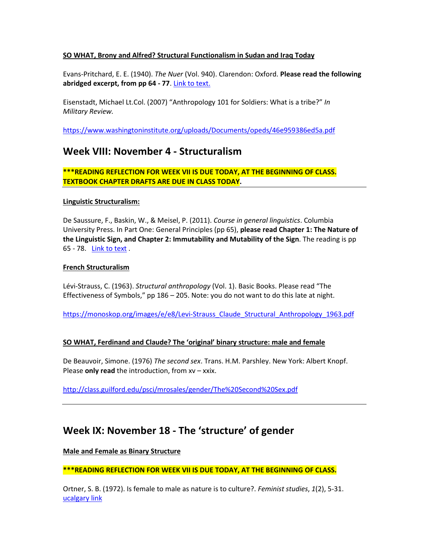#### **SO WHAT, Brony and Alfred? Structural Functionalism in Sudan and Iraq Today**

Evans-Pritchard, E. E. (1940). *The Nuer* (Vol. 940). Clarendon: Oxford. **Please read the following abridged excerpt, from pp 64 - 77**. [Link to text.](https://www.uio.no/studier/emner/sv/sai/SOSANT1000/h14/pensumliste/evans-pritchard_the_nuer.pdf)

Eisenstadt, Michael Lt.Col. (2007) "Anthropology 101 for Soldiers: What is a tribe?" *In Military Review.* 

<https://www.washingtoninstitute.org/uploads/Documents/opeds/46e959386ed5a.pdf>

### **Week VIII: November 4 - Structuralism**

**\*\*\*READING REFLECTION FOR WEEK VII IS DUE TODAY, AT THE BEGINNING OF CLASS. TEXTBOOK CHAPTER DRAFTS ARE DUE IN CLASS TODAY.** 

#### **Linguistic Structuralism:**

De Saussure, F., Baskin, W., & Meisel, P. (2011). *Course in general linguistics*. Columbia University Press. In Part One: General Principles (pp 65), **please read Chapter 1: The Nature of the Linguistic Sign, and Chapter 2: Immutability and Mutability of the Sign**. The reading is pp 65 - 78. [Link to text](http://home.wlu.edu/%7Elevys/courses/anth252f2006/saussure.pdf) .

#### **French Structuralism**

Lévi-Strauss, C. (1963). *Structural anthropology* (Vol. 1). Basic Books. Please read "The Effectiveness of Symbols," pp 186 – 205. Note: you do not want to do this late at night.

https://monoskop.org/images/e/e8/Levi-[Strauss\\_Claude\\_Structural\\_Anthropology\\_1963.pdf](https://monoskop.org/images/e/e8/Levi-Strauss_Claude_Structural_Anthropology_1963.pdf)

### **SO WHAT, Ferdinand and Claude? The 'original' binary structure: male and female**

De Beauvoir, Simone. (1976) *The second sex*. Trans. H.M. Parshley. New York: Albert Knopf. Please **only read** the introduction, from xv – xxix.

<http://class.guilford.edu/psci/mrosales/gender/The%20Second%20Sex.pdf>

### **Week IX: November 18 - The 'structure' of gender**

**Male and Female as Binary Structure**

**\*\*\*READING REFLECTION FOR WEEK VII IS DUE TODAY, AT THE BEGINNING OF CLASS.**

Ortner, S. B. (1972). Is female to male as nature is to culture?. *Feminist studies*, *1*(2), 5-31. [ucalgary link](http://classes.uleth.ca/201001/anth1000a/women%20culture.pdf)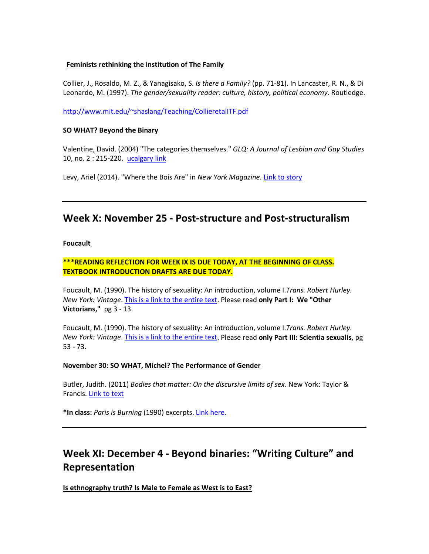#### **Feminists rethinking the institution of The Family**

Collier, J., Rosaldo, M. Z., & Yanagisako, S. *Is there a Family?* (pp. 71-81). In Lancaster, R. N., & Di Leonardo, M. (1997). *The gender/sexuality reader: culture, history, political economy*. Routledge.

[http://www.mit.edu/~shaslang/Teaching/CollieretalITF.pdf](http://www.mit.edu/%7Eshaslang/Teaching/CollieretalITF.pdf)

#### **SO WHAT? Beyond the Binary**

Valentine, David. (2004) "The categories themselves." *GLQ: A Journal of Lesbian and Gay Studies* 10, no. 2 : 215-220. [ucalgary link](http://sites.middlebury.edu/soan191/files/2013/08/valentinecategories.pdf)

Levy, Ariel (2014). "Where the Bois Are" in *New York Magazine*. [Link to story](http://nymag.com/nymetro/news/features/n_9709/)

### **Week X: November 25 - Post-structure and Post-structuralism**

#### **Foucault**

**\*\*\*READING REFLECTION FOR WEEK IX IS DUE TODAY, AT THE BEGINNING OF CLASS. TEXTBOOK INTRODUCTION DRAFTS ARE DUE TODAY.**

Foucault, M. (1990). The history of sexuality: An introduction, volume I.*Trans. Robert Hurley. New York: Vintage*. [This is a link to the entire text.](https://suplaney.files.wordpress.com/2010/09/foucault-the-history-of-sexuality-volume-1.pdf) Please read **only Part I: We "Other Victorians,"** pg 3 - 13.

Foucault, M. (1990). The history of sexuality: An introduction, volume I.*Trans. Robert Hurley. New York: Vintage*. [This is a link to the entire text.](https://suplaney.files.wordpress.com/2010/09/foucault-the-history-of-sexuality-volume-1.pdf) Please read **only Part III: Scientia sexualis**, pg 53 - 73.

#### **November 30: SO WHAT, Michel? The Performance of Gender**

Butler, Judith. (2011) *Bodies that matter: On the discursive limits of sex*. New York: Taylor & Francis. [Link to text](https://www2.warwick.ac.uk/fac/arts/english/currentstudents/pg/masters/modules/femlit/bodies-that-matter.pdf)

**\*In class:** *Paris is Burning* (1990) excerpts[. Link here.](https://www.youtube.com/watch?v=hedJer7I1vI)

# **Week XI: December 4 - Beyond binaries: "Writing Culture" and Representation**

**Is ethnography truth? Is Male to Female as West is to East?**